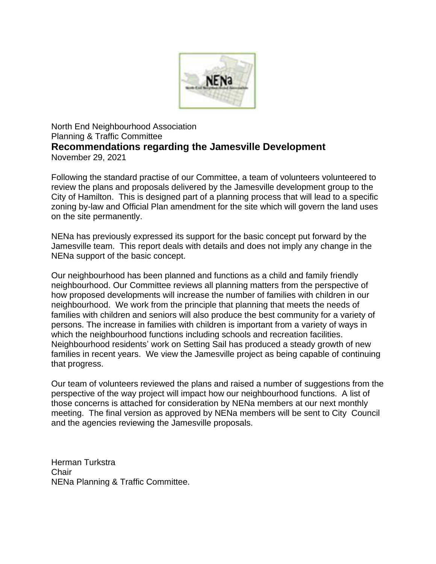

North End Neighbourhood Association Planning & Traffic Committee **Recommendations regarding the Jamesville Development** November 29, 2021

Following the standard practise of our Committee, a team of volunteers volunteered to review the plans and proposals delivered by the Jamesville development group to the City of Hamilton. This is designed part of a planning process that will lead to a specific zoning by-law and Official Plan amendment for the site which will govern the land uses on the site permanently.

NENa has previously expressed its support for the basic concept put forward by the Jamesville team. This report deals with details and does not imply any change in the NENa support of the basic concept.

Our neighbourhood has been planned and functions as a child and family friendly neighbourhood. Our Committee reviews all planning matters from the perspective of how proposed developments will increase the number of families with children in our neighbourhood. We work from the principle that planning that meets the needs of families with children and seniors will also produce the best community for a variety of persons. The increase in families with children is important from a variety of ways in which the neighbourhood functions including schools and recreation facilities. Neighbourhood residents' work on Setting Sail has produced a steady growth of new families in recent years. We view the Jamesville project as being capable of continuing that progress.

Our team of volunteers reviewed the plans and raised a number of suggestions from the perspective of the way project will impact how our neighbourhood functions. A list of those concerns is attached for consideration by NENa members at our next monthly meeting. The final version as approved by NENa members will be sent to City Council and the agencies reviewing the Jamesville proposals.

Herman Turkstra **Chair** NENa Planning & Traffic Committee.